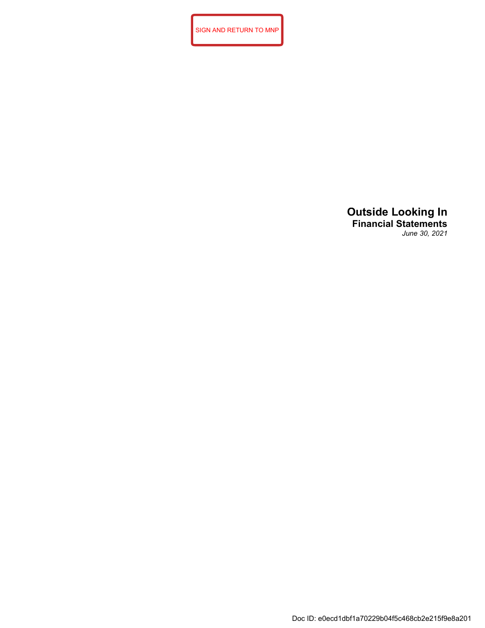SIGN AND RETURN TO MNP

# **Outside Looking In Financial Statements** *June 30, 2021*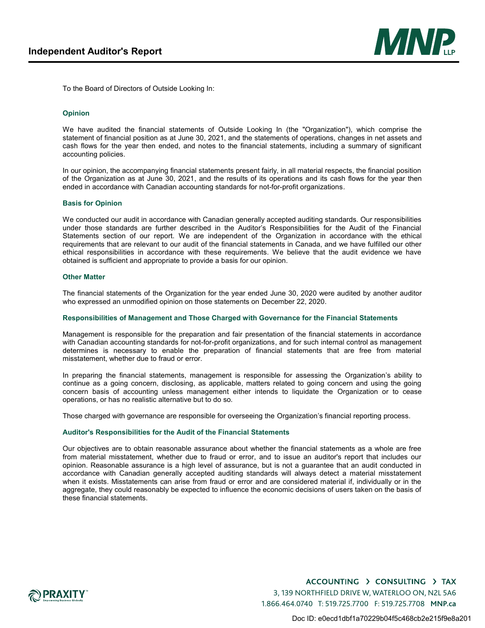

To the Board of Directors of Outside Looking In:

# **Opinion**

We have audited the financial statements of Outside Looking In (the "Organization"), which comprise the statement of financial position as at June 30, 2021, and the statements of operations, changes in net assets and cash flows for the year then ended, and notes to the financial statements, including a summary of significant accounting policies.

In our opinion, the accompanying financial statements present fairly, in all material respects, the financial position of the Organization as at June 30, 2021, and the results of its operations and its cash flows for the year then ended in accordance with Canadian accounting standards for not-for-profit organizations.

## **Basis for Opinion**

We conducted our audit in accordance with Canadian generally accepted auditing standards. Our responsibilities under those standards are further described in the Auditor's Responsibilities for the Audit of the Financial Statements section of our report. We are independent of the Organization in accordance with the ethical requirements that are relevant to our audit of the financial statements in Canada, and we have fulfilled our other ethical responsibilities in accordance with these requirements. We believe that the audit evidence we have obtained is sufficient and appropriate to provide a basis for our opinion.

#### **Other Matter**

The financial statements of the Organization for the year ended June 30, 2020 were audited by another auditor who expressed an unmodified opinion on those statements on December 22, 2020.

#### **Responsibilities of Management and Those Charged with Governance for the Financial Statements**

Management is responsible for the preparation and fair presentation of the financial statements in accordance with Canadian accounting standards for not-for-profit organizations, and for such internal control as management determines is necessary to enable the preparation of financial statements that are free from material misstatement, whether due to fraud or error.

In preparing the financial statements, management is responsible for assessing the Organization's ability to continue as a going concern, disclosing, as applicable, matters related to going concern and using the going concern basis of accounting unless management either intends to liquidate the Organization or to cease operations, or has no realistic alternative but to do so.

Those charged with governance are responsible for overseeing the Organization's financial reporting process.

#### **Auditor's Responsibilities for the Audit of the Financial Statements**

Our objectives are to obtain reasonable assurance about whether the financial statements as a whole are free from material misstatement, whether due to fraud or error, and to issue an auditor's report that includes our opinion. Reasonable assurance is a high level of assurance, but is not a guarantee that an audit conducted in accordance with Canadian generally accepted auditing standards will always detect a material misstatement when it exists. Misstatements can arise from fraud or error and are considered material if, individually or in the aggregate, they could reasonably be expected to influence the economic decisions of users taken on the basis of these financial statements.

> ACCOUNTING > CONSULTING > TAX 3, 139 NORTHFIELD DRIVE W, WATERLOO ON, N2L 5A6 1.866.464.0740 T: 519.725.7700 F: 519.725.7708 **MNP.ca**

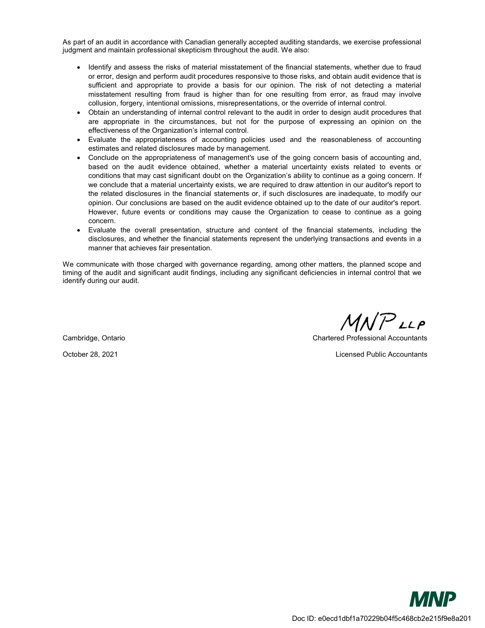As part of an audit in accordance with Canadian generally accepted auditing standards, we exercise professional judgment and maintain professional skepticism throughout the audit. We also:

- Identify and assess the risks of material misstatement of the financial statements, whether due to fraud or error, design and perform audit procedures responsive to those risks, and obtain audit evidence that is sufficient and appropriate to provide a basis for our opinion. The risk of not detecting a material misstatement resulting from fraud is higher than for one resulting from error, as fraud may involve collusion, forgery, intentional omissions, misrepresentations, or the override of internal control.
- Obtain an understanding of internal control relevant to the audit in order to design audit procedures that are appropriate in the circumstances, but not for the purpose of expressing an opinion on the effectiveness of the Organization's internal control.
- Evaluate the appropriateness of accounting policies used and the reasonableness of accounting estimates and related disclosures made by management.
- Conclude on the appropriateness of management's use of the going concern basis of accounting and, based on the audit evidence obtained, whether a material uncertainty exists related to events or conditions that may cast significant doubt on the Organization's ability to continue as a going concern. If we conclude that a material uncertainty exists, we are required to draw attention in our auditor's report to the related disclosures in the financial statements or, if such disclosures are inadequate, to modify our opinion. Our conclusions are based on the audit evidence obtained up to the date of our auditor's report. However, future events or conditions may cause the Organization to cease to continue as a going concern.
- Evaluate the overall presentation, structure and content of the financial statements, including the disclosures, and whether the financial statements represent the underlying transactions and events in a manner that achieves fair presentation.

We communicate with those charged with governance regarding, among other matters, the planned scope and timing of the audit and significant audit findings, including any significant deficiencies in internal control that we identify during our audit.

 $MNP$ LLP

Cambridge, Ontario Chartered Professional Accountants

October 28, 2021 Licensed Public Accountants

**MNP** Doc ID: e0ecd1dbf1a70229b04f5c468cb2e215f9e8a201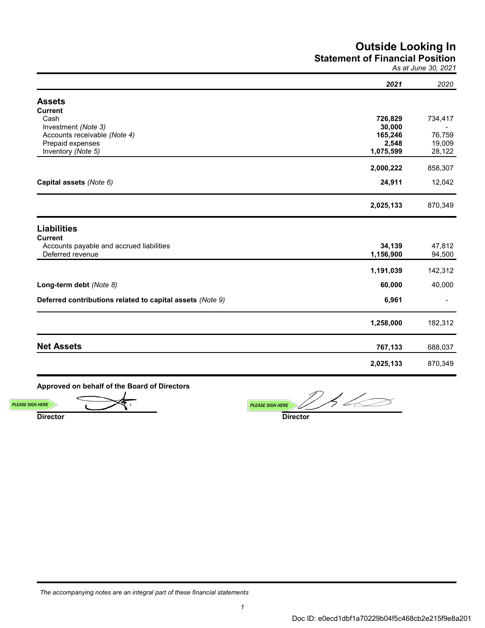# **Outside Looking In Statement of Financial Position**

*As at June 30, 2021*

|                                                           | 2021      | 2020    |
|-----------------------------------------------------------|-----------|---------|
| <b>Assets</b>                                             |           |         |
| <b>Current</b>                                            |           |         |
| Cash                                                      | 726,829   | 734,417 |
| Investment (Note 3)                                       | 30,000    |         |
| Accounts receivable (Note 4)                              | 165,246   | 76,759  |
| Prepaid expenses                                          | 2,548     | 19,009  |
| Inventory (Note 5)                                        | 1,075,599 | 28,122  |
|                                                           | 2,000,222 | 858,307 |
| Capital assets (Note 6)                                   | 24,911    | 12,042  |
|                                                           | 2,025,133 | 870,349 |
| <b>Liabilities</b>                                        |           |         |
| <b>Current</b>                                            |           |         |
| Accounts payable and accrued liabilities                  | 34,139    | 47,812  |
| Deferred revenue                                          | 1,156,900 | 94,500  |
|                                                           | 1,191,039 | 142,312 |
| Long-term debt (Note 8)                                   | 60,000    | 40,000  |
| Deferred contributions related to capital assets (Note 9) | 6,961     |         |
|                                                           | 1,258,000 | 182,312 |
| <b>Net Assets</b>                                         | 767,133   | 688,037 |
|                                                           | 2,025,133 | 870,349 |

**Approved on behalf of the Board of Directors**

**Director Director PLEASE SIGN HERE** *PLEASE SIGN HERE* 

*{{esl:Signer1:Signature:size(200,40)}} {{esl:Signer2:Signature:size(200,40)}}*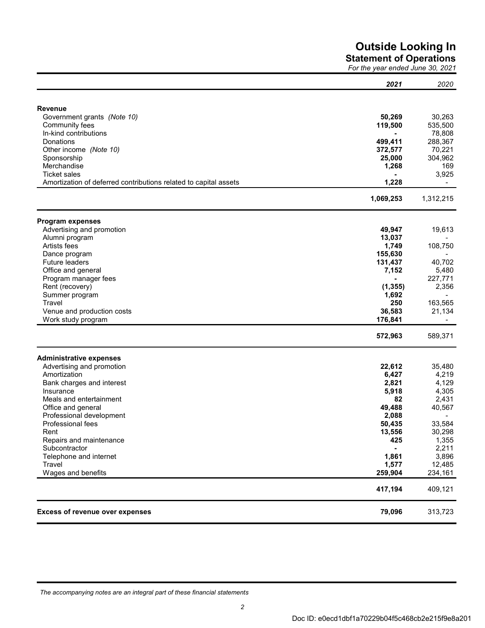# **Outside Looking In**

**Statement of Operations**

*For the year ended June 30, 2021*

|                                                                  | 2021      | 2020      |
|------------------------------------------------------------------|-----------|-----------|
|                                                                  |           |           |
| <b>Revenue</b>                                                   |           |           |
| Government grants (Note 10)                                      | 50,269    | 30,263    |
| Community fees                                                   | 119,500   | 535,500   |
| In-kind contributions                                            |           | 78,808    |
| Donations                                                        | 499,411   | 288,367   |
| Other income (Note 10)                                           | 372,577   | 70,221    |
| Sponsorship                                                      | 25,000    | 304,962   |
| Merchandise                                                      | 1,268     | 169       |
| <b>Ticket sales</b>                                              |           | 3,925     |
| Amortization of deferred contributions related to capital assets | 1,228     |           |
|                                                                  | 1,069,253 | 1,312,215 |
| <b>Program expenses</b>                                          |           |           |
| Advertising and promotion                                        | 49,947    | 19,613    |
| Alumni program                                                   | 13,037    |           |
| Artists fees                                                     | 1,749     | 108,750   |
| Dance program                                                    | 155,630   |           |
| Future leaders                                                   | 131,437   | 40,702    |
| Office and general                                               | 7,152     | 5,480     |
| Program manager fees                                             |           | 227,771   |
| Rent (recovery)                                                  | (1, 355)  | 2,356     |
| Summer program                                                   | 1,692     |           |
| Travel                                                           | 250       | 163,565   |
| Venue and production costs                                       | 36,583    | 21,134    |
| Work study program                                               | 176,841   |           |
|                                                                  | 572,963   | 589,371   |
| <b>Administrative expenses</b>                                   |           |           |
| Advertising and promotion                                        | 22,612    | 35,480    |
| Amortization                                                     | 6,427     | 4,219     |
| Bank charges and interest                                        | 2,821     | 4,129     |
| Insurance                                                        | 5,918     | 4,305     |
| Meals and entertainment                                          | 82        | 2,431     |
| Office and general                                               | 49,488    | 40,567    |
| Professional development                                         | 2,088     |           |
| Professional fees                                                | 50,435    | 33,584    |
| Rent                                                             | 13,556    | 30,298    |
| Repairs and maintenance                                          | 425       | 1,355     |
| Subcontractor                                                    |           | 2,211     |
| Telephone and internet                                           | 1,861     | 3,896     |
| Travel                                                           | 1,577     | 12,485    |
| Wages and benefits                                               | 259,904   | 234,161   |
|                                                                  | 417,194   | 409,121   |
| <b>Excess of revenue over expenses</b>                           | 79,096    | 313,723   |

*The accompanying notes are an integral part of these financial statements*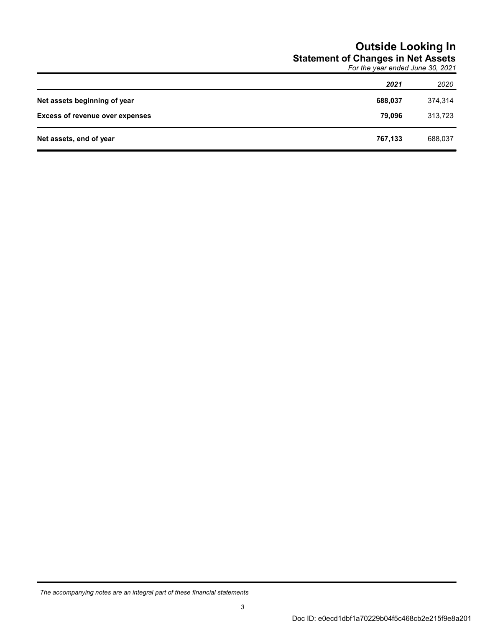# **Outside Looking In Statement of Changes in Net Assets**

*For the year ended June 30, 2021*

|                                        | 2021    | 2020    |
|----------------------------------------|---------|---------|
| Net assets beginning of year           | 688,037 | 374,314 |
| <b>Excess of revenue over expenses</b> | 79.096  | 313,723 |
| Net assets, end of year                | 767,133 | 688,037 |

*The accompanying notes are an integral part of these financial statements*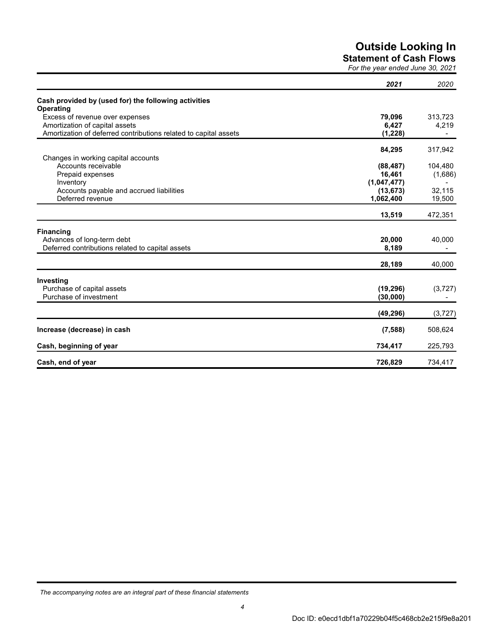# **Outside Looking In**

**Statement of Cash Flows**

*For the year ended June 30, 2021*

|                                                                          | 2021        | 2020     |
|--------------------------------------------------------------------------|-------------|----------|
| Cash provided by (used for) the following activities<br><b>Operating</b> |             |          |
| Excess of revenue over expenses                                          | 79,096      | 313,723  |
| Amortization of capital assets                                           | 6,427       | 4,219    |
| Amortization of deferred contributions related to capital assets         | (1, 228)    |          |
|                                                                          | 84,295      | 317,942  |
| Changes in working capital accounts                                      |             |          |
| Accounts receivable                                                      | (88, 487)   | 104,480  |
| Prepaid expenses                                                         | 16,461      | (1,686)  |
| Inventory                                                                | (1,047,477) |          |
| Accounts payable and accrued liabilities                                 | (13, 673)   | 32,115   |
| Deferred revenue                                                         | 1,062,400   | 19,500   |
|                                                                          | 13,519      | 472,351  |
| <b>Financing</b>                                                         |             |          |
| Advances of long-term debt                                               | 20,000      | 40,000   |
| Deferred contributions related to capital assets                         | 8,189       |          |
|                                                                          | 28,189      | 40,000   |
| Investing                                                                |             |          |
| Purchase of capital assets                                               | (19, 296)   | (3,727)  |
| Purchase of investment                                                   | (30,000)    |          |
|                                                                          | (49, 296)   | (3, 727) |
| Increase (decrease) in cash                                              | (7,588)     | 508,624  |
| Cash, beginning of year                                                  | 734,417     | 225,793  |
| Cash, end of year                                                        | 726,829     | 734,417  |

*The accompanying notes are an integral part of these financial statements*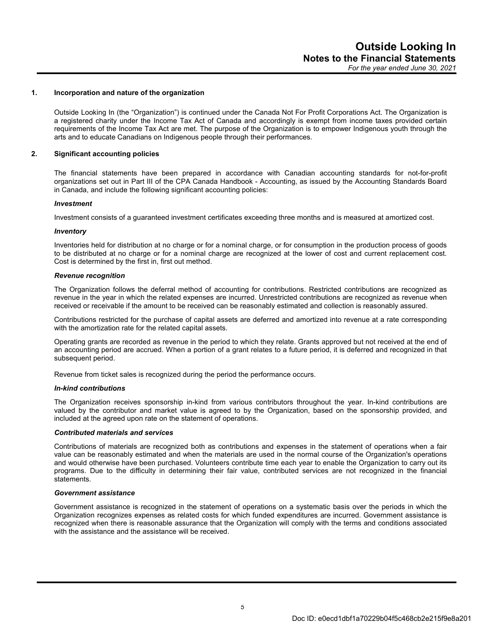## **1. Incorporation and nature of the organization**

Outside Looking In (the "Organization") is continued under the Canada Not For Profit Corporations Act. The Organization is a registered charity under the Income Tax Act of Canada and accordingly is exempt from income taxes provided certain requirements of the Income Tax Act are met. The purpose of the Organization is to empower Indigenous youth through the arts and to educate Canadians on Indigenous people through their performances.

# **2. Significant accounting policies**

The financial statements have been prepared in accordance with Canadian accounting standards for not-for-profit organizations set out in Part III of the CPA Canada Handbook - Accounting, as issued by the Accounting Standards Board in Canada, and include the following significant accounting policies:

#### *Investment*

Investment consists of a guaranteed investment certificates exceeding three months and is measured at amortized cost.

#### *Inventory*

Inventories held for distribution at no charge or for a nominal charge, or for consumption in the production process of goods to be distributed at no charge or for a nominal charge are recognized at the lower of cost and current replacement cost. Cost is determined by the first in, first out method.

#### *Revenue recognition*

The Organization follows the deferral method of accounting for contributions. Restricted contributions are recognized as revenue in the year in which the related expenses are incurred. Unrestricted contributions are recognized as revenue when received or receivable if the amount to be received can be reasonably estimated and collection is reasonably assured.

Contributions restricted for the purchase of capital assets are deferred and amortized into revenue at a rate corresponding with the amortization rate for the related capital assets.

Operating grants are recorded as revenue in the period to which they relate. Grants approved but not received at the end of an accounting period are accrued. When a portion of a grant relates to a future period, it is deferred and recognized in that subsequent period.

Revenue from ticket sales is recognized during the period the performance occurs.

#### *In-kind contributions*

The Organization receives sponsorship in-kind from various contributors throughout the year. In-kind contributions are valued by the contributor and market value is agreed to by the Organization, based on the sponsorship provided, and included at the agreed upon rate on the statement of operations.

#### *Contributed materials and services*

Contributions of materials are recognized both as contributions and expenses in the statement of operations when a fair value can be reasonably estimated and when the materials are used in the normal course of the Organization's operations and would otherwise have been purchased. Volunteers contribute time each year to enable the Organization to carry out its programs. Due to the difficulty in determining their fair value, contributed services are not recognized in the financial statements.

# *Government assistance*

Government assistance is recognized in the statement of operations on a systematic basis over the periods in which the Organization recognizes expenses as related costs for which funded expenditures are incurred. Government assistance is recognized when there is reasonable assurance that the Organization will comply with the terms and conditions associated with the assistance and the assistance will be received.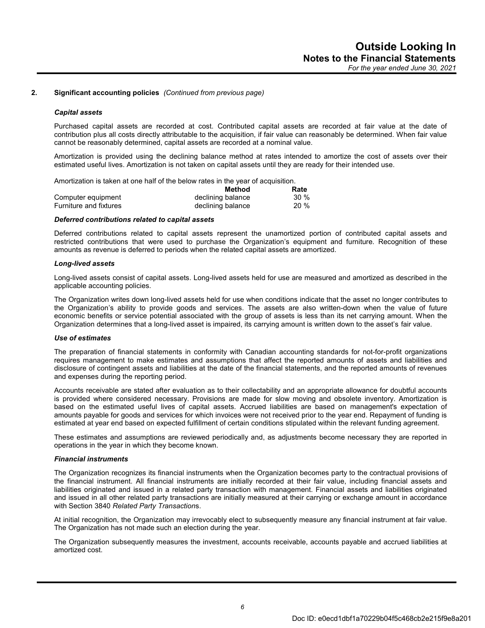# **2. Significant accounting policies** *(Continued from previous page)*

#### *Capital assets*

Purchased capital assets are recorded at cost. Contributed capital assets are recorded at fair value at the date of contribution plus all costs directly attributable to the acquisition, if fair value can reasonably be determined. When fair value cannot be reasonably determined, capital assets are recorded at a nominal value.

Amortization is provided using the declining balance method at rates intended to amortize the cost of assets over their estimated useful lives. Amortization is not taken on capital assets until they are ready for their intended use.

Amortization is taken at one half of the below rates in the year of acquisition.

|                        | Method            | Rate |
|------------------------|-------------------|------|
| Computer equipment     | declining balance | 30%  |
| Furniture and fixtures | declining balance | 20 % |

#### *Deferred contributions related to capital assets*

Deferred contributions related to capital assets represent the unamortized portion of contributed capital assets and restricted contributions that were used to purchase the Organization's equipment and furniture. Recognition of these amounts as revenue is deferred to periods when the related capital assets are amortized.

#### *Long-lived assets*

Long-lived assets consist of capital assets. Long-lived assets held for use are measured and amortized as described in the applicable accounting policies.

The Organization writes down long-lived assets held for use when conditions indicate that the asset no longer contributes to the Organization's ability to provide goods and services. The assets are also written-down when the value of future economic benefits or service potential associated with the group of assets is less than its net carrying amount. When the Organization determines that a long-lived asset is impaired, its carrying amount is written down to the asset's fair value.

#### *Use of estimates*

The preparation of financial statements in conformity with Canadian accounting standards for not-for-profit organizations requires management to make estimates and assumptions that affect the reported amounts of assets and liabilities and disclosure of contingent assets and liabilities at the date of the financial statements, and the reported amounts of revenues and expenses during the reporting period.

Accounts receivable are stated after evaluation as to their collectability and an appropriate allowance for doubtful accounts is provided where considered necessary. Provisions are made for slow moving and obsolete inventory. Amortization is based on the estimated useful lives of capital assets. Accrued liabilities are based on management's expectation of amounts payable for goods and services for which invoices were not received prior to the year end. Repayment of funding is estimated at year end based on expected fulfillment of certain conditions stipulated within the relevant funding agreement.

These estimates and assumptions are reviewed periodically and, as adjustments become necessary they are reported in operations in the year in which they become known.

# *Financial instruments*

The Organization recognizes its financial instruments when the Organization becomes party to the contractual provisions of the financial instrument. All financial instruments are initially recorded at their fair value, including financial assets and liabilities originated and issued in a related party transaction with management. Financial assets and liabilities originated and issued in all other related party transactions are initially measured at their carrying or exchange amount in accordance with Section 3840 *Related Party Transaction*s.

At initial recognition, the Organization may irrevocably elect to subsequently measure any financial instrument at fair value. The Organization has not made such an election during the year.

The Organization subsequently measures the investment, accounts receivable, accounts payable and accrued liabilities at amortized cost.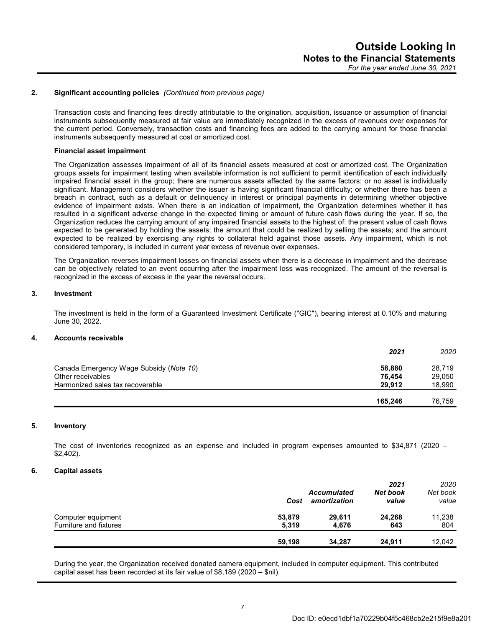# **2. Significant accounting policies** *(Continued from previous page)*

Transaction costs and financing fees directly attributable to the origination, acquisition, issuance or assumption of financial instruments subsequently measured at fair value are immediately recognized in the excess of revenues over expenses for the current period. Conversely, transaction costs and financing fees are added to the carrying amount for those financial instruments subsequently measured at cost or amortized cost.

#### **Financial asset impairment**

The Organization assesses impairment of all of its financial assets measured at cost or amortized cost. The Organization groups assets for impairment testing when available information is not sufficient to permit identification of each individually impaired financial asset in the group; there are numerous assets affected by the same factors; or no asset is individually significant. Management considers whether the issuer is having significant financial difficulty; or whether there has been a breach in contract, such as a default or delinquency in interest or principal payments in determining whether objective evidence of impairment exists. When there is an indication of impairment, the Organization determines whether it has resulted in a significant adverse change in the expected timing or amount of future cash flows during the year. If so, the Organization reduces the carrying amount of any impaired financial assets to the highest of: the present value of cash flows expected to be generated by holding the assets; the amount that could be realized by selling the assets; and the amount expected to be realized by exercising any rights to collateral held against those assets. Any impairment, which is not considered temporary, is included in current year excess of revenue over expenses.

The Organization reverses impairment losses on financial assets when there is a decrease in impairment and the decrease can be objectively related to an event occurring after the impairment loss was recognized. The amount of the reversal is recognized in the excess of excess in the year the reversal occurs.

## **3. Investment**

The investment is held in the form of a Guaranteed Investment Certificate ("GIC"), bearing interest at 0.10% and maturing June 30, 2022.

# **4. Accounts receivable**

|                                         | 2021    | 2020   |
|-----------------------------------------|---------|--------|
| Canada Emergency Wage Subsidy (Note 10) | 58,880  | 28.719 |
| Other receivables                       | 76.454  | 29,050 |
| Harmonized sales tax recoverable        | 29.912  | 18.990 |
|                                         | 165.246 | 76.759 |

# **5. Inventory**

The cost of inventories recognized as an expense and included in program expenses amounted to \$34,871 (2020 – \$2,402).

# **6. Capital assets**

|                        | Cost   | <b>Accumulated</b><br>amortization | 2021<br>Net book<br>value | 2020<br>Net book<br>value |
|------------------------|--------|------------------------------------|---------------------------|---------------------------|
| Computer equipment     | 53,879 | 29.611                             | 24,268                    | 11,238                    |
| Furniture and fixtures | 5.319  | 4.676                              | 643                       | 804                       |
|                        | 59,198 | 34.287                             | 24,911                    | 12,042                    |

During the year, the Organization received donated camera equipment, included in computer equipment. This contributed capital asset has been recorded at its fair value of \$8,189 (2020 – \$nil).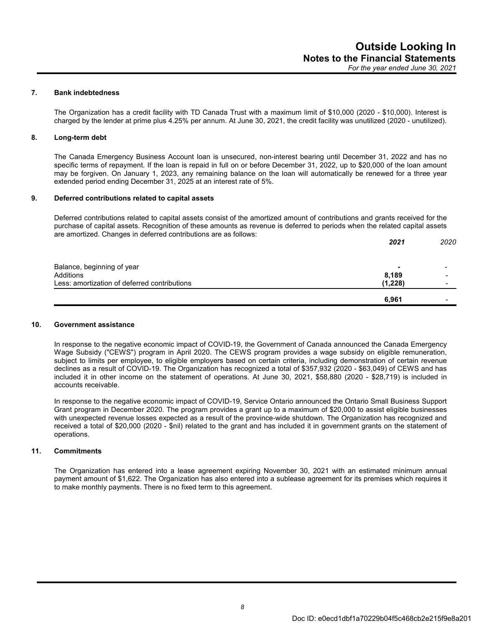# **7. Bank indebtedness**

The Organization has a credit facility with TD Canada Trust with a maximum limit of \$10,000 (2020 - \$10,000). Interest is charged by the lender at prime plus 4.25% per annum. At June 30, 2021, the credit facility was unutilized (2020 - unutilized).

# **8. Long-term debt**

The Canada Emergency Business Account loan is unsecured, non-interest bearing until December 31, 2022 and has no specific terms of repayment. If the loan is repaid in full on or before December 31, 2022, up to \$20,000 of the loan amount may be forgiven. On January 1, 2023, any remaining balance on the loan will automatically be renewed for a three year extended period ending December 31, 2025 at an interest rate of 5%.

## **9. Deferred contributions related to capital assets**

Deferred contributions related to capital assets consist of the amortized amount of contributions and grants received for the purchase of capital assets. Recognition of these amounts as revenue is deferred to periods when the related capital assets are amortized. Changes in deferred contributions are as follows:

|                                              | 2021    | 2020 |
|----------------------------------------------|---------|------|
|                                              |         |      |
| Balance, beginning of year                   | -       |      |
| Additions                                    | 8,189   |      |
| Less: amortization of deferred contributions | (1,228) |      |
|                                              | 6,961   |      |

### **10. Government assistance**

In response to the negative economic impact of COVID-19, the Government of Canada announced the Canada Emergency Wage Subsidy ("CEWS") program in April 2020. The CEWS program provides a wage subsidy on eligible remuneration, subject to limits per employee, to eligible employers based on certain criteria, including demonstration of certain revenue declines as a result of COVID-19. The Organization has recognized a total of \$357,932 (2020 - \$63,049) of CEWS and has included it in other income on the statement of operations. At June 30, 2021, \$58,880 (2020 - \$28,719) is included in accounts receivable.

In response to the negative economic impact of COVID-19, Service Ontario announced the Ontario Small Business Support Grant program in December 2020. The program provides a grant up to a maximum of \$20,000 to assist eligible businesses with unexpected revenue losses expected as a result of the province-wide shutdown. The Organization has recognized and received a total of \$20,000 (2020 - \$nil) related to the grant and has included it in government grants on the statement of operations.

# **11. Commitments**

The Organization has entered into a lease agreement expiring November 30, 2021 with an estimated minimum annual payment amount of \$1,622. The Organization has also entered into a sublease agreement for its premises which requires it to make monthly payments. There is no fixed term to this agreement.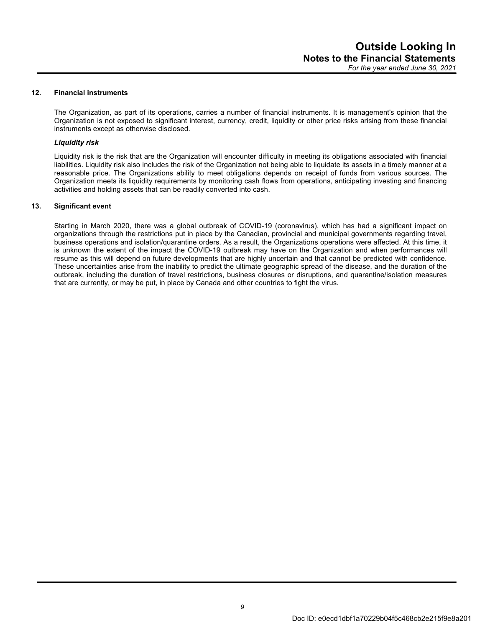## **12. Financial instruments**

The Organization, as part of its operations, carries a number of financial instruments. It is management's opinion that the Organization is not exposed to significant interest, currency, credit, liquidity or other price risks arising from these financial instruments except as otherwise disclosed.

# *Liquidity risk*

Liquidity risk is the risk that are the Organization will encounter difficulty in meeting its obligations associated with financial liabilities. Liquidity risk also includes the risk of the Organization not being able to liquidate its assets in a timely manner at a reasonable price. The Organizations ability to meet obligations depends on receipt of funds from various sources. The Organization meets its liquidity requirements by monitoring cash flows from operations, anticipating investing and financing activities and holding assets that can be readily converted into cash.

## **13. Significant event**

Starting in March 2020, there was a global outbreak of COVID-19 (coronavirus), which has had a significant impact on organizations through the restrictions put in place by the Canadian, provincial and municipal governments regarding travel, business operations and isolation/quarantine orders. As a result, the Organizations operations were affected. At this time, it is unknown the extent of the impact the COVID-19 outbreak may have on the Organization and when performances will resume as this will depend on future developments that are highly uncertain and that cannot be predicted with confidence. These uncertainties arise from the inability to predict the ultimate geographic spread of the disease, and the duration of the outbreak, including the duration of travel restrictions, business closures or disruptions, and quarantine/isolation measures that are currently, or may be put, in place by Canada and other countries to fight the virus.